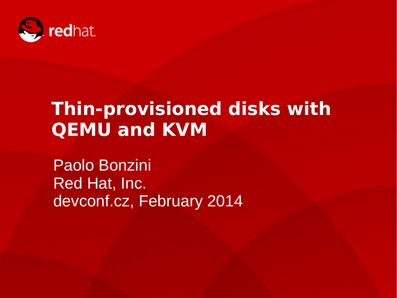

# **Thin-provisioned disks with QEMU and KVM**

Paolo Bonzini Red Hat, Inc. devconf.cz, February 2014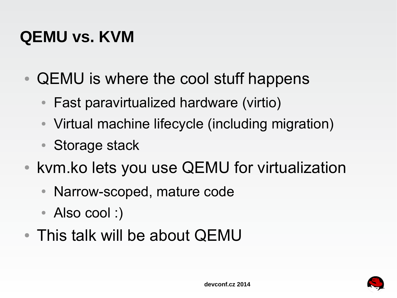## **QEMU vs. KVM**

- QEMU is where the cool stuff happens
	- Fast paravirtualized hardware (virtio)
	- Virtual machine lifecycle (including migration)
	- Storage stack
- kvm.ko lets you use QEMU for virtualization
	- Narrow-scoped, mature code
	- Also cool :)
- This talk will be about QEMU

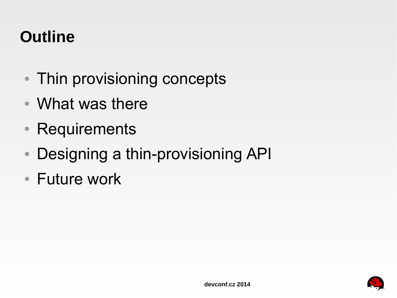## **Outline**

- Thin provisioning concepts
- What was there
- Requirements
- Designing a thin-provisioning API
- Future work

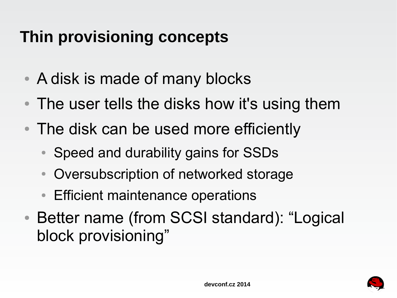## **Thin provisioning concepts**

- A disk is made of many blocks
- The user tells the disks how it's using them
- The disk can be used more efficiently
	- Speed and durability gains for SSDs
	- Oversubscription of networked storage
	- Efficient maintenance operations
- Better name (from SCSI standard): "Logical block provisioning"

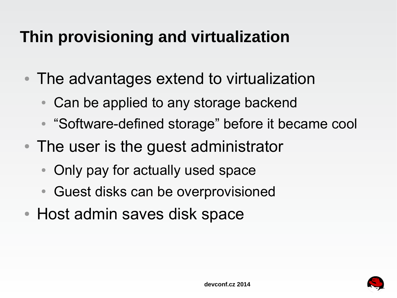## **Thin provisioning and virtualization**

- The advantages extend to virtualization
	- Can be applied to any storage backend
	- "Software-defined storage" before it became cool
- The user is the guest administrator
	- Only pay for actually used space
	- Guest disks can be overprovisioned
- Host admin saves disk space

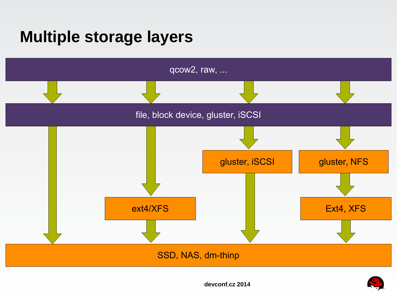### **Multiple storage layers**





**devconf.cz 2014**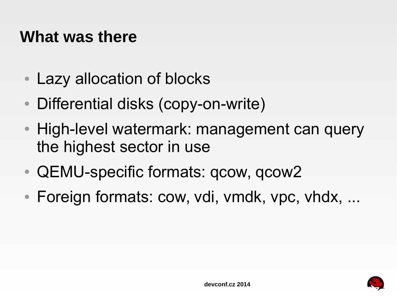#### **What was there**

- Lazy allocation of blocks
- Differential disks (copy-on-write)
- High-level watermark: management can query the highest sector in use
- QEMU-specific formats: qcow, qcow2
- Foreign formats: cow, vdi, vmdk, vpc, vhdx, ...

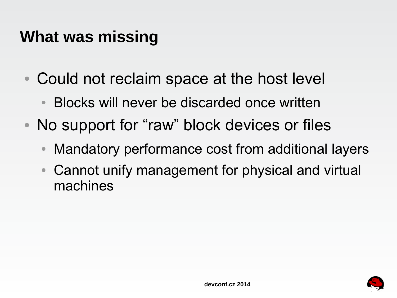#### **What was missing**

- Could not reclaim space at the host level
	- Blocks will never be discarded once written
- No support for "raw" block devices or files
	- Mandatory performance cost from additional layers
	- Cannot unify management for physical and virtual machines

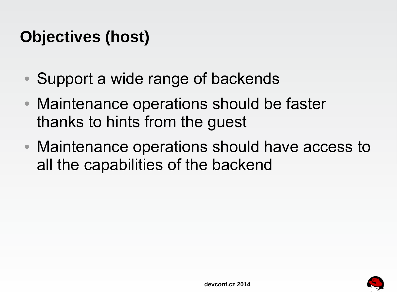## **Objectives (host)**

- Support a wide range of backends
- Maintenance operations should be faster thanks to hints from the guest
- Maintenance operations should have access to all the capabilities of the backend

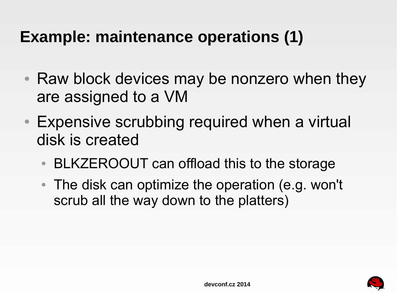## **Example: maintenance operations (1)**

- Raw block devices may be nonzero when they are assigned to a VM
- Expensive scrubbing required when a virtual disk is created
	- BLKZEROOUT can offload this to the storage
	- The disk can optimize the operation (e.g. won't scrub all the way down to the platters)

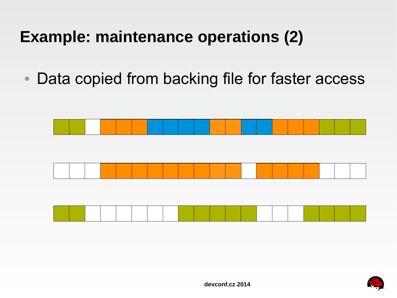## **Example: maintenance operations (2)**

• Data copied from backing file for faster access





**devconf.cz 2014**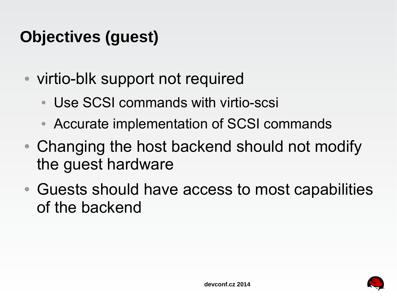## **Objectives (guest)**

- virtio-blk support not required
	- Use SCSI commands with virtio-scsi
	- Accurate implementation of SCSI commands
- Changing the host backend should not modify the guest hardware
- Guests should have access to most capabilities of the backend

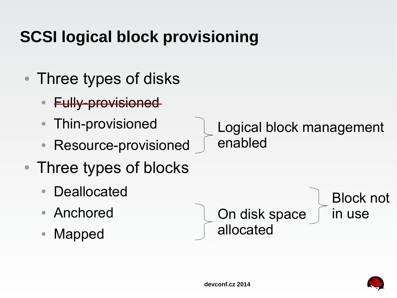## **SCSI logical block provisioning**

- Three types of disks
	- **Fully-provisioned**
	- Thin-provisioned
	- Resource-provisioned
- Three types of blocks
	- **Deallocated**
	- Anchored
	- Mapped

 Logical block management enabled

**Condisk space** allocated



Block not

in use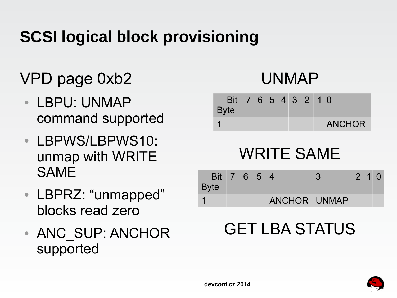## **SCSI logical block provisioning**

## VPD page 0xb2

- LBPU: UNMAP command supported
- **LBPWS/LBPWS10:** unmap with WRITE SAME
- LBPRZ: "unmapped" blocks read zero
- ANC SUP: ANCHOR supported

### UNMAP

| <b>Byte</b> |  |  |  | Bit 7 6 5 4 3 2 1 0 |
|-------------|--|--|--|---------------------|
|             |  |  |  | <b>ANCHOR</b>       |

## WRITE SAME

| Bit 7 6 5 4<br><b>Byte</b> |  |              |  | $2 \quad 1 \quad 0$ |  |
|----------------------------|--|--------------|--|---------------------|--|
|                            |  | ANCHOR UNMAP |  |                     |  |

## GET LBA STATUS

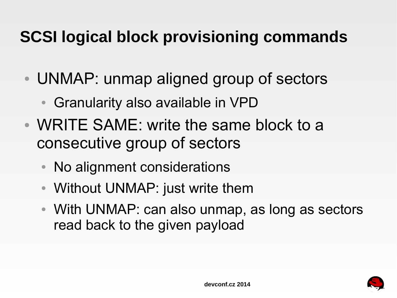## **SCSI logical block provisioning commands**

- UNMAP: unmap aligned group of sectors
	- **Granularity also available in VPD**
- WRITE SAME: write the same block to a consecutive group of sectors
	- No alignment considerations
	- Without UNMAP: just write them
	- With UNMAP: can also unmap, as long as sectors read back to the given payload

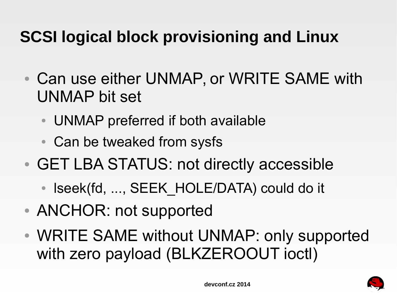## **SCSI logical block provisioning and Linux**

- Can use either UNMAP, or WRITE SAME with UNMAP bit set
	- UNMAP preferred if both available
	- Can be tweaked from sysfs
- GET LBA STATUS: not directly accessible
	- Iseek(fd, ..., SEEK HOLE/DATA) could do it
- ANCHOR: not supported
- WRITE SAME without UNMAP: only supported with zero payload (BLKZEROOUT ioctl)

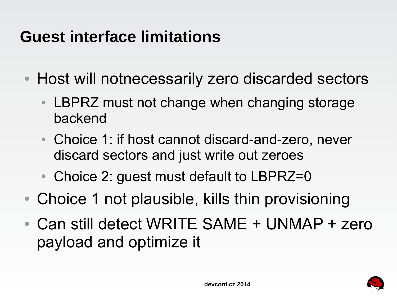## **Guest interface limitations**

- Host will notnecessarily zero discarded sectors
	- LBPRZ must not change when changing storage backend
	- Choice 1: if host cannot discard-and-zero, never discard sectors and just write out zeroes
	- Choice 2: guest must default to LBPRZ=0
- Choice 1 not plausible, kills thin provisioning
- Can still detect WRITE SAME + UNMAP + zero payload and optimize it

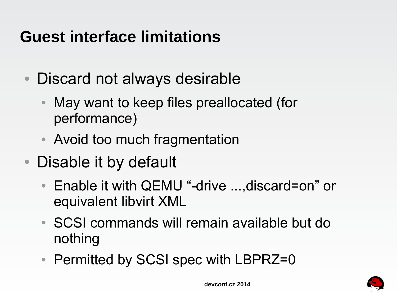## **Guest interface limitations**

- Discard not always desirable
	- May want to keep files preallocated (for performance)
	- Avoid too much fragmentation
- Disable it by default
	- Enable it with QEMU "-drive ...,discard=on" or equivalent libvirt XML
	- SCSI commands will remain available but do nothing
	- Permitted by SCSI spec with LBPRZ=0

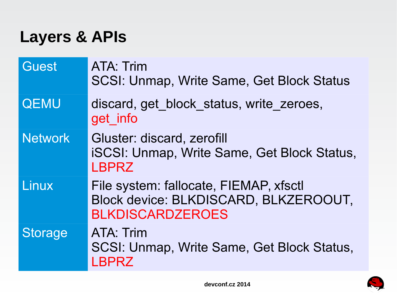### **Layers & APIs**

| <b>Guest</b>   | <b>ATA: Trim</b><br><b>SCSI: Unmap, Write Same, Get Block Status</b>                                       |
|----------------|------------------------------------------------------------------------------------------------------------|
| <b>QEMU</b>    | discard, get block status, write zeroes,<br>get info                                                       |
| <b>Network</b> | Gluster: discard, zerofill<br><b>iSCSI: Unmap, Write Same, Get Block Status,</b><br><b>LBPRZ</b>           |
| Linux          | File system: fallocate, FIEMAP, xfsctl<br>Block device: BLKDISCARD, BLKZEROOUT,<br><b>BLKDISCARDZEROES</b> |
| <b>Storage</b> | ATA: Trim<br>SCSI: Unmap, Write Same, Get Block Status,<br><b>LBPRZ</b>                                    |

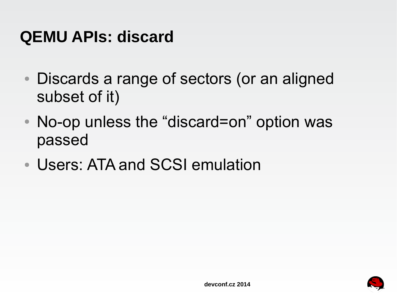### **QEMU APIs: discard**

- Discards a range of sectors (or an aligned subset of it)
- No-op unless the "discard=on" option was passed
- Users: ATA and SCSI emulation

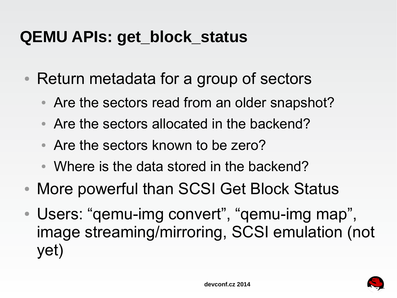### **QEMU APIs: get\_block\_status**

- Return metadata for a group of sectors
	- Are the sectors read from an older snapshot?
	- Are the sectors allocated in the backend?
	- Are the sectors known to be zero?
	- Where is the data stored in the backend?
- More powerful than SCSI Get Block Status
- Users: "gemu-img convert", "gemu-img map", image streaming/mirroring, SCSI emulation (not yet)

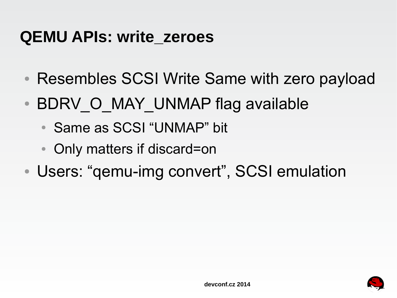#### **QEMU APIs: write\_zeroes**

- Resembles SCSI Write Same with zero payload
- . BDRV O MAY UNMAP flag available
	- Same as SCSI "UNMAP" bit
	- Only matters if discard=on
- Users: "gemu-img convert", SCSI emulation

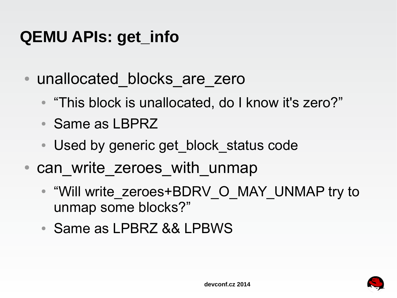## **QEMU APIs: get\_info**

- unallocated blocks are zero
	- "This block is unallocated, do I know it's zero?"
	- Same as LBPRZ
	- Used by generic get block status code
- can write zeroes with unmap
	- "Will write\_zeroes+BDRV\_O\_MAY\_UNMAP try to unmap some blocks?"
	- Same as LPBRZ && LPBWS

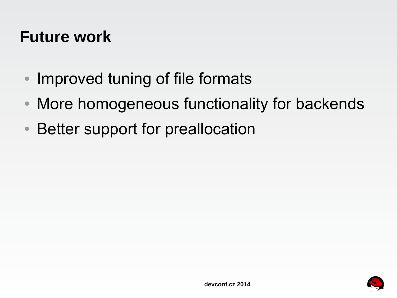#### **Future work**

- Improved tuning of file formats
- More homogeneous functionality for backends
- Better support for preallocation

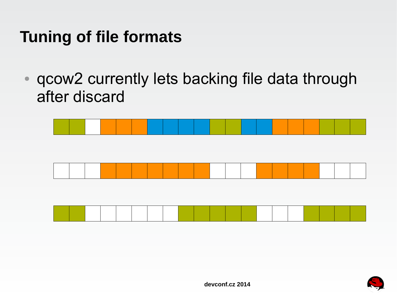### **Tuning of file formats**

• qcow2 currently lets backing file data through after discard







**devconf.cz 2014**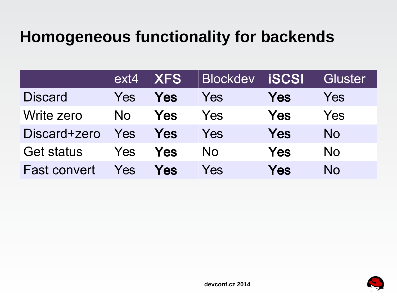## **Homogeneous functionality for backends**

|                     | ext4       | <b>IXFS</b> | <b>Blockdev</b> | <b>LiSCSI</b> | Gluster   |
|---------------------|------------|-------------|-----------------|---------------|-----------|
| <b>Discard</b>      | Yes        | Yes         | Yes             | Yes           | Yes       |
| Write zero          | <b>No</b>  | Yes         | Yes             | Yes           | Yes       |
| Discard+zero        | Yes        | Yes         | Yes             | Yes           | <b>No</b> |
| <b>Get status</b>   | <b>Yes</b> | Yes         | No.             | Yes           | <b>No</b> |
| <b>Fast convert</b> | Yes        | Yes         | Yes             | Yes           | No        |

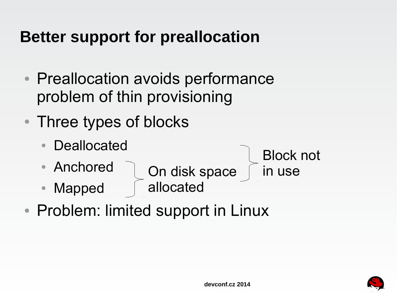## **Better support for preallocation**

- Preallocation avoids performance problem of thin provisioning
- Three types of blocks
	- Deallocated
	- Anchored

**Condisk space**  Block not in use

- Mapped allocated
- Problem: limited support in Linux